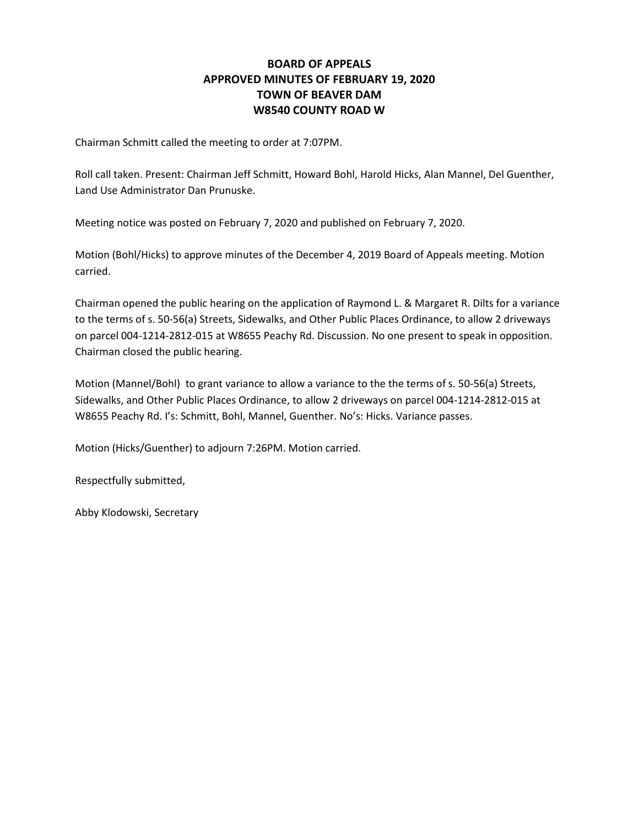#### **BOARD OF APPEALS APPROVED MINUTES OF FEBRUARY 19, 2020 TOWN OF BEAVER DAM W8540 COUNTY ROAD W**

Chairman Schmitt called the meeting to order at 7:07PM.

Roll call taken. Present: Chairman Jeff Schmitt, Howard Bohl, Harold Hicks, Alan Mannel, Del Guenther, Land Use Administrator Dan Prunuske.

Meeting notice was posted on February 7, 2020 and published on February 7, 2020.

Motion (Bohl/Hicks) to approve minutes of the December 4, 2019 Board of Appeals meeting. Motion carried.

Chairman opened the public hearing on the application of Raymond L. & Margaret R. Dilts for a variance to the terms of s. 50-56(a) Streets, Sidewalks, and Other Public Places Ordinance, to allow 2 driveways on parcel 004-1214-2812-015 at W8655 Peachy Rd. Discussion. No one present to speak in opposition. Chairman closed the public hearing.

Motion (Mannel/Bohl) to grant variance to allow a variance to the the terms of s. 50-56(a) Streets, Sidewalks, and Other Public Places Ordinance, to allow 2 driveways on parcel 004-1214-2812-015 at W8655 Peachy Rd. I's: Schmitt, Bohl, Mannel, Guenther. No's: Hicks. Variance passes.

Motion (Hicks/Guenther) to adjourn 7:26PM. Motion carried.

Respectfully submitted,

Abby Klodowski, Secretary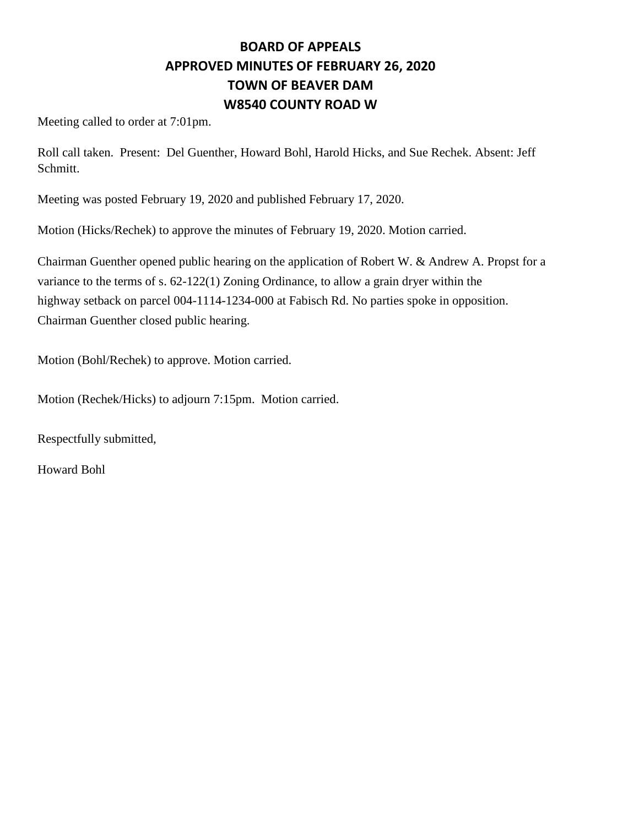# **BOARD OF APPEALS APPROVED MINUTES OF FEBRUARY 26, 2020 TOWN OF BEAVER DAM W8540 COUNTY ROAD W**

Meeting called to order at 7:01pm.

Roll call taken. Present: Del Guenther, Howard Bohl, Harold Hicks, and Sue Rechek. Absent: Jeff Schmitt.

Meeting was posted February 19, 2020 and published February 17, 2020.

Motion (Hicks/Rechek) to approve the minutes of February 19, 2020. Motion carried.

Chairman Guenther opened public hearing on the application of Robert W. & Andrew A. Propst for a variance to the terms of s. 62-122(1) Zoning Ordinance, to allow a grain dryer within the highway setback on parcel 004-1114-1234-000 at Fabisch Rd. No parties spoke in opposition. Chairman Guenther closed public hearing.

Motion (Bohl/Rechek) to approve. Motion carried.

Motion (Rechek/Hicks) to adjourn 7:15pm. Motion carried.

Respectfully submitted,

Howard Bohl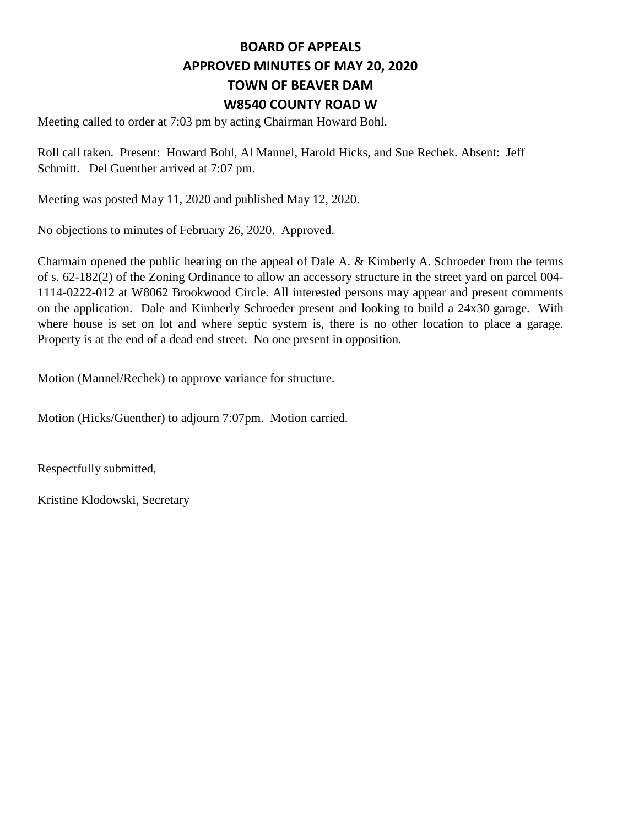## **BOARD OF APPEALS APPROVED MINUTES OF MAY 20, 2020 TOWN OF BEAVER DAM W8540 COUNTY ROAD W**

Meeting called to order at 7:03 pm by acting Chairman Howard Bohl.

Roll call taken. Present: Howard Bohl, Al Mannel, Harold Hicks, and Sue Rechek. Absent: Jeff Schmitt. Del Guenther arrived at 7:07 pm.

Meeting was posted May 11, 2020 and published May 12, 2020.

No objections to minutes of February 26, 2020. Approved.

Charmain opened the public hearing on the appeal of Dale A. & Kimberly A. Schroeder from the terms of s. 62-182(2) of the Zoning Ordinance to allow an accessory structure in the street yard on parcel 004- 1114-0222-012 at W8062 Brookwood Circle. All interested persons may appear and present comments on the application. Dale and Kimberly Schroeder present and looking to build a 24x30 garage. With where house is set on lot and where septic system is, there is no other location to place a garage. Property is at the end of a dead end street. No one present in opposition.

Motion (Mannel/Rechek) to approve variance for structure.

Motion (Hicks/Guenther) to adjourn 7:07pm. Motion carried.

Respectfully submitted,

Kristine Klodowski, Secretary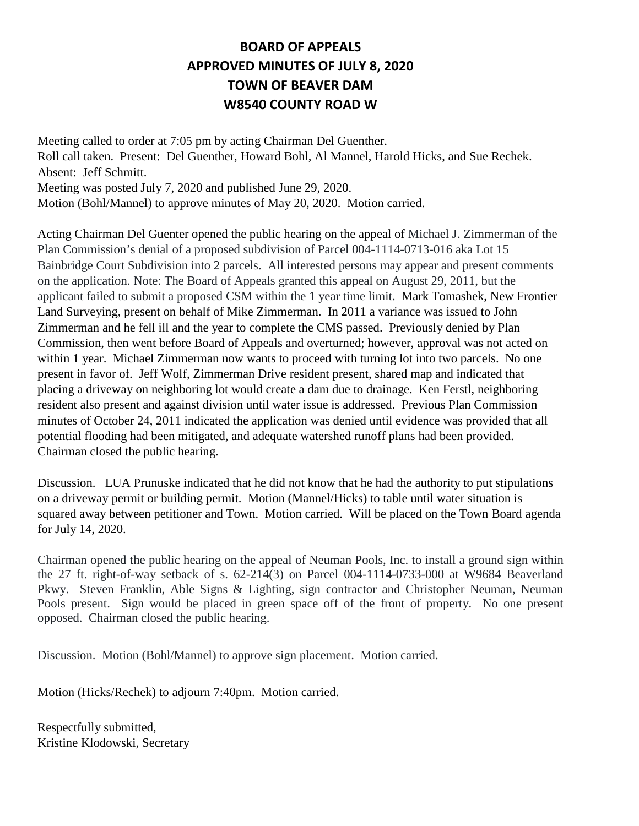## **BOARD OF APPEALS APPROVED MINUTES OF JULY 8, 2020 TOWN OF BEAVER DAM W8540 COUNTY ROAD W**

Meeting called to order at 7:05 pm by acting Chairman Del Guenther. Roll call taken. Present: Del Guenther, Howard Bohl, Al Mannel, Harold Hicks, and Sue Rechek. Absent: Jeff Schmitt. Meeting was posted July 7, 2020 and published June 29, 2020. Motion (Bohl/Mannel) to approve minutes of May 20, 2020. Motion carried.

Acting Chairman Del Guenter opened the public hearing on the appeal of Michael J. Zimmerman of the Plan Commission's denial of a proposed subdivision of Parcel 004-1114-0713-016 aka Lot 15 Bainbridge Court Subdivision into 2 parcels. All interested persons may appear and present comments on the application. Note: The Board of Appeals granted this appeal on August 29, 2011, but the applicant failed to submit a proposed CSM within the 1 year time limit. Mark Tomashek, New Frontier Land Surveying, present on behalf of Mike Zimmerman. In 2011 a variance was issued to John Zimmerman and he fell ill and the year to complete the CMS passed. Previously denied by Plan Commission, then went before Board of Appeals and overturned; however, approval was not acted on within 1 year. Michael Zimmerman now wants to proceed with turning lot into two parcels. No one present in favor of. Jeff Wolf, Zimmerman Drive resident present, shared map and indicated that placing a driveway on neighboring lot would create a dam due to drainage. Ken Ferstl, neighboring resident also present and against division until water issue is addressed. Previous Plan Commission minutes of October 24, 2011 indicated the application was denied until evidence was provided that all potential flooding had been mitigated, and adequate watershed runoff plans had been provided. Chairman closed the public hearing.

Discussion. LUA Prunuske indicated that he did not know that he had the authority to put stipulations on a driveway permit or building permit. Motion (Mannel/Hicks) to table until water situation is squared away between petitioner and Town. Motion carried. Will be placed on the Town Board agenda for July 14, 2020.

Chairman opened the public hearing on the appeal of Neuman Pools, Inc. to install a ground sign within the 27 ft. right-of-way setback of s. 62-214(3) on Parcel 004-1114-0733-000 at W9684 Beaverland Pkwy. Steven Franklin, Able Signs & Lighting, sign contractor and Christopher Neuman, Neuman Pools present. Sign would be placed in green space off of the front of property. No one present opposed. Chairman closed the public hearing.

Discussion. Motion (Bohl/Mannel) to approve sign placement. Motion carried.

Motion (Hicks/Rechek) to adjourn 7:40pm. Motion carried.

Respectfully submitted, Kristine Klodowski, Secretary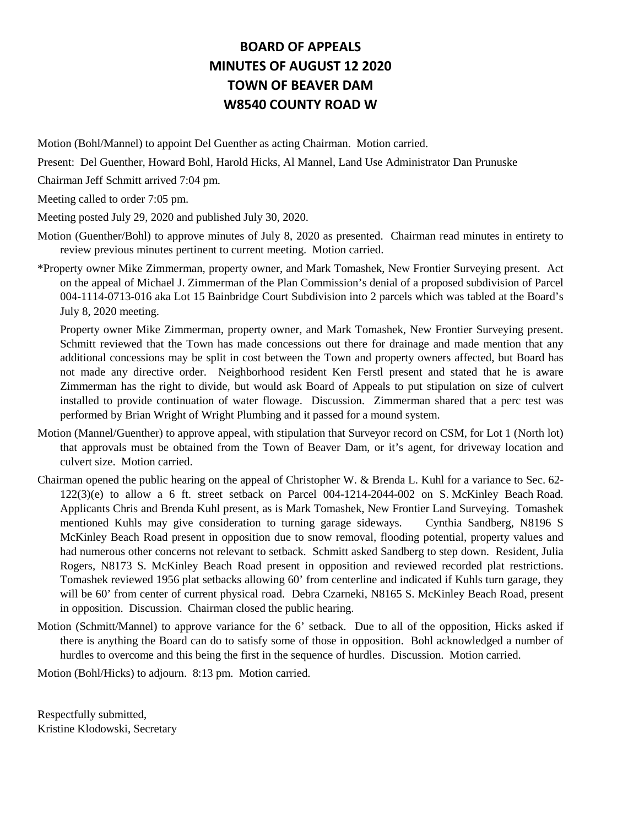## **BOARD OF APPEALS MINUTES OF AUGUST 12 2020 TOWN OF BEAVER DAM W8540 COUNTY ROAD W**

Motion (Bohl/Mannel) to appoint Del Guenther as acting Chairman. Motion carried.

Present: Del Guenther, Howard Bohl, Harold Hicks, Al Mannel, Land Use Administrator Dan Prunuske

Chairman Jeff Schmitt arrived 7:04 pm.

Meeting called to order 7:05 pm.

Meeting posted July 29, 2020 and published July 30, 2020.

- Motion (Guenther/Bohl) to approve minutes of July 8, 2020 as presented. Chairman read minutes in entirety to review previous minutes pertinent to current meeting. Motion carried.
- \*Property owner Mike Zimmerman, property owner, and Mark Tomashek, New Frontier Surveying present. Act on the appeal of Michael J. Zimmerman of the Plan Commission's denial of a proposed subdivision of Parcel 004-1114-0713-016 aka Lot 15 Bainbridge Court Subdivision into 2 parcels which was tabled at the Board's July 8, 2020 meeting.

Property owner Mike Zimmerman, property owner, and Mark Tomashek, New Frontier Surveying present. Schmitt reviewed that the Town has made concessions out there for drainage and made mention that any additional concessions may be split in cost between the Town and property owners affected, but Board has not made any directive order. Neighborhood resident Ken Ferstl present and stated that he is aware Zimmerman has the right to divide, but would ask Board of Appeals to put stipulation on size of culvert installed to provide continuation of water flowage. Discussion. Zimmerman shared that a perc test was performed by Brian Wright of Wright Plumbing and it passed for a mound system.

- Motion (Mannel/Guenther) to approve appeal, with stipulation that Surveyor record on CSM, for Lot 1 (North lot) that approvals must be obtained from the Town of Beaver Dam, or it's agent, for driveway location and culvert size. Motion carried.
- Chairman opened the public hearing on the appeal of Christopher W. & Brenda L. Kuhl for a variance to Sec. 62- 122(3)(e) to allow a 6 ft. street setback on Parcel 004-1214-2044-002 on S. McKinley Beach Road. Applicants Chris and Brenda Kuhl present, as is Mark Tomashek, New Frontier Land Surveying. Tomashek mentioned Kuhls may give consideration to turning garage sideways. Cynthia Sandberg, N8196 S McKinley Beach Road present in opposition due to snow removal, flooding potential, property values and had numerous other concerns not relevant to setback. Schmitt asked Sandberg to step down. Resident, Julia Rogers, N8173 S. McKinley Beach Road present in opposition and reviewed recorded plat restrictions. Tomashek reviewed 1956 plat setbacks allowing 60' from centerline and indicated if Kuhls turn garage, they will be 60' from center of current physical road. Debra Czarneki, N8165 S. McKinley Beach Road, present in opposition. Discussion. Chairman closed the public hearing.
- Motion (Schmitt/Mannel) to approve variance for the 6' setback. Due to all of the opposition, Hicks asked if there is anything the Board can do to satisfy some of those in opposition. Bohl acknowledged a number of hurdles to overcome and this being the first in the sequence of hurdles. Discussion. Motion carried.

Motion (Bohl/Hicks) to adjourn. 8:13 pm. Motion carried.

Respectfully submitted, Kristine Klodowski, Secretary